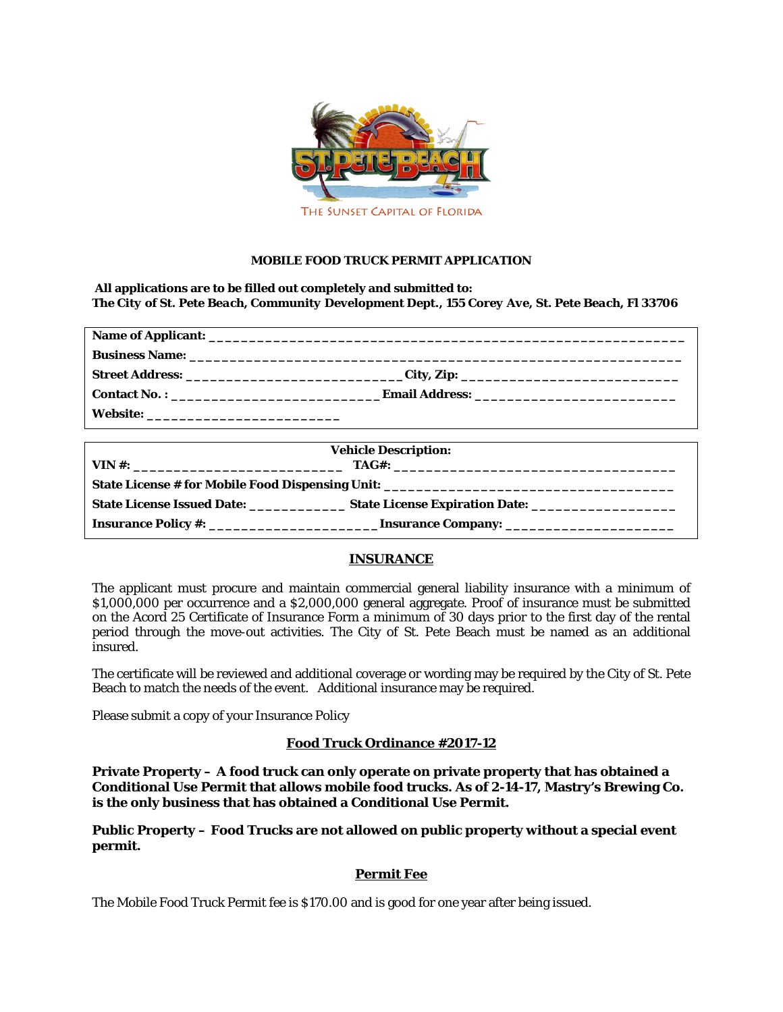

### **MOBILE FOOD TRUCK PERMIT APPLICATION**

**All applications are to be filled out completely and submitted to:** *The City of St. Pete Beach, Community Development Dept., 155 Corey Ave, St. Pete Beach, Fl 33706*

| <b>Contact No.:</b> The contract of the contract of the contract of the contract of the contract of the contract of the contract of the contract of the contract of the contract of the contract of the contract of the contract of  |  |
|--------------------------------------------------------------------------------------------------------------------------------------------------------------------------------------------------------------------------------------|--|
| <b>Expedition Service Service Service Service Service Service Service Service Service Service Service Service Service Service Service Service Service Service Service Service Service Service Service Service Service Service Se</b> |  |

| <b>Vehicle Description:</b>       |                                                                                                            |  |
|-----------------------------------|------------------------------------------------------------------------------------------------------------|--|
|                                   |                                                                                                            |  |
|                                   |                                                                                                            |  |
| <b>State License Issued Date:</b> |                                                                                                            |  |
|                                   | <b>Insurance Policy #: ________________________________Insurance Company: ____________________________</b> |  |

### **INSURANCE**

The applicant must procure and maintain commercial general liability insurance with a minimum of \$1,000,000 per occurrence and a \$2,000,000 general aggregate. Proof of insurance must be submitted on the Acord 25 Certificate of Insurance Form a minimum of 30 days prior to the first day of the rental period through the move-out activities. The City of St. Pete Beach must be named as an additional insured.

The certificate will be reviewed and additional coverage or wording may be required by the City of St. Pete Beach to match the needs of the event. Additional insurance may be required.

Please submit a copy of your Insurance Policy

#### **Food Truck Ordinance #2017-12**

**Private Property – A food truck can only operate on private property that has obtained a Conditional Use Permit that allows mobile food trucks. As of 2-14-17, Mastry's Brewing Co. is the only business that has obtained a Conditional Use Permit.** 

**Public Property – Food Trucks are not allowed on public property without a special event permit.** 

### **Permit Fee**

The Mobile Food Truck Permit fee is \$170.00 and is good for one year after being issued.